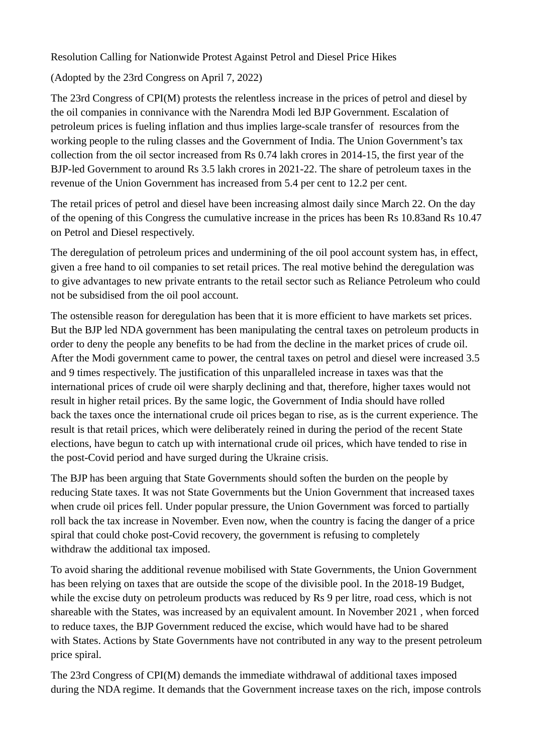Resolution Calling for Nationwide Protest Against Petrol and Diesel Price Hikes

(Adopted by the 23rd Congress on April 7, 2022)

The 23rd Congress of CPI(M) protests the relentless increase in the prices of petrol and diesel by the oil companies in connivance with the Narendra Modi led BJP Government. Escalation of petroleum prices is fueling inflation and thus implies large-scale transfer of resources from the working people to the ruling classes and the Government of India. The Union Government's tax collection from the oil sector increased from Rs 0.74 lakh crores in 2014-15, the first year of the BJP-led Government to around Rs 3.5 lakh crores in 2021-22. The share of petroleum taxes in the revenue of the Union Government has increased from 5.4 per cent to 12.2 per cent.

The retail prices of petrol and diesel have been increasing almost daily since March 22. On the day of the opening of this Congress the cumulative increase in the prices has been Rs 10.83and Rs 10.47 on Petrol and Diesel respectively.

The deregulation of petroleum prices and undermining of the oil pool account system has, in effect, given a free hand to oil companies to set retail prices. The real motive behind the deregulation was to give advantages to new private entrants to the retail sector such as Reliance Petroleum who could not be subsidised from the oil pool account.

The ostensible reason for deregulation has been that it is more efficient to have markets set prices. But the BJP led NDA government has been manipulating the central taxes on petroleum products in order to deny the people any benefits to be had from the decline in the market prices of crude oil. After the Modi government came to power, the central taxes on petrol and diesel were increased 3.5 and 9 times respectively. The justification of this unparalleled increase in taxes was that the international prices of crude oil were sharply declining and that, therefore, higher taxes would not result in higher retail prices. By the same logic, the Government of India should have rolled back the taxes once the international crude oil prices began to rise, as is the current experience. The result is that retail prices, which were deliberately reined in during the period of the recent State elections, have begun to catch up with international crude oil prices, which have tended to rise in the post-Covid period and have surged during the Ukraine crisis.

The BJP has been arguing that State Governments should soften the burden on the people by reducing State taxes. It was not State Governments but the Union Government that increased taxes when crude oil prices fell. Under popular pressure, the Union Government was forced to partially roll back the tax increase in November. Even now, when the country is facing the danger of a price spiral that could choke post-Covid recovery, the government is refusing to completely withdraw the additional tax imposed.

To avoid sharing the additional revenue mobilised with State Governments, the Union Government has been relying on taxes that are outside the scope of the divisible pool. In the 2018-19 Budget, while the excise duty on petroleum products was reduced by Rs 9 per litre, road cess, which is not shareable with the States, was increased by an equivalent amount. In November 2021 , when forced to reduce taxes, the BJP Government reduced the excise, which would have had to be shared with States. Actions by State Governments have not contributed in any way to the present petroleum price spiral.

The 23rd Congress of CPI(M) demands the immediate withdrawal of additional taxes imposed during the NDA regime. It demands that the Government increase taxes on the rich, impose controls